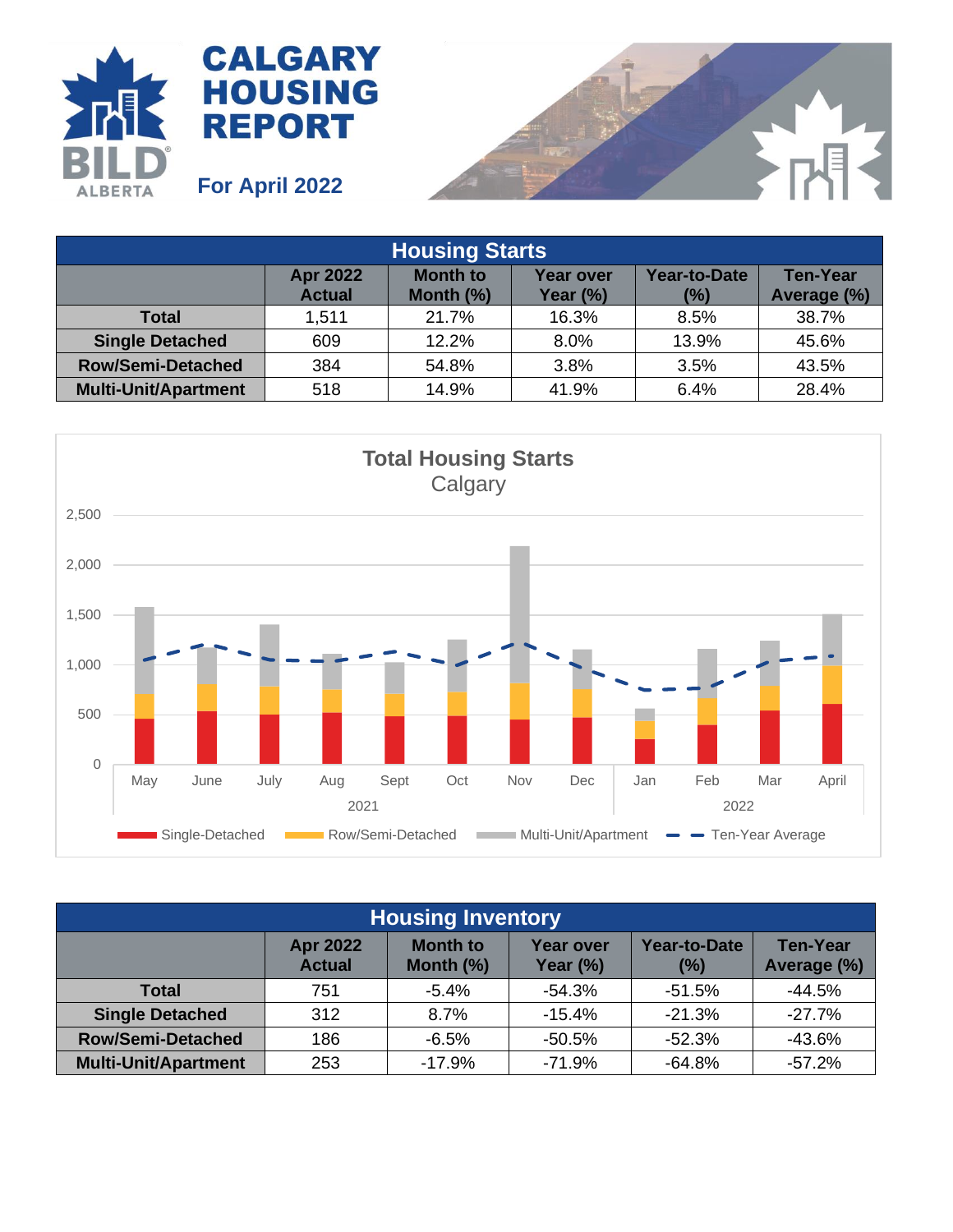



| <b>Housing Starts</b>       |                                  |                                 |                                 |                     |                                |  |
|-----------------------------|----------------------------------|---------------------------------|---------------------------------|---------------------|--------------------------------|--|
|                             | <b>Apr 2022</b><br><b>Actual</b> | <b>Month to</b><br>Month $(\%)$ | <b>Year over</b><br>Year $(\%)$ | Year-to-Date<br>(%) | <b>Ten-Year</b><br>Average (%) |  |
| Total                       | 1,511                            | 21.7%                           | 16.3%                           | 8.5%                | 38.7%                          |  |
| <b>Single Detached</b>      | 609                              | 12.2%                           | 8.0%                            | 13.9%               | 45.6%                          |  |
| <b>Row/Semi-Detached</b>    | 384                              | 54.8%                           | 3.8%                            | 3.5%                | 43.5%                          |  |
| <b>Multi-Unit/Apartment</b> | 518                              | 14.9%                           | 41.9%                           | 6.4%                | 28.4%                          |  |



| <b>Housing Inventory</b>    |                                  |                                 |                              |                            |                                |  |
|-----------------------------|----------------------------------|---------------------------------|------------------------------|----------------------------|--------------------------------|--|
|                             | <b>Apr 2022</b><br><b>Actual</b> | <b>Month to</b><br>Month $(\%)$ | <b>Year over</b><br>Year (%) | <b>Year-to-Date</b><br>(%) | <b>Ten-Year</b><br>Average (%) |  |
| Total                       | 751                              | $-5.4%$                         | $-54.3%$                     | $-51.5%$                   | $-44.5%$                       |  |
| <b>Single Detached</b>      | 312                              | 8.7%                            | $-15.4%$                     | $-21.3%$                   | $-27.7%$                       |  |
| <b>Row/Semi-Detached</b>    | 186                              | $-6.5%$                         | $-50.5%$                     | $-52.3%$                   | $-43.6%$                       |  |
| <b>Multi-Unit/Apartment</b> | 253                              | $-17.9%$                        | $-71.9%$                     | $-64.8%$                   | $-57.2%$                       |  |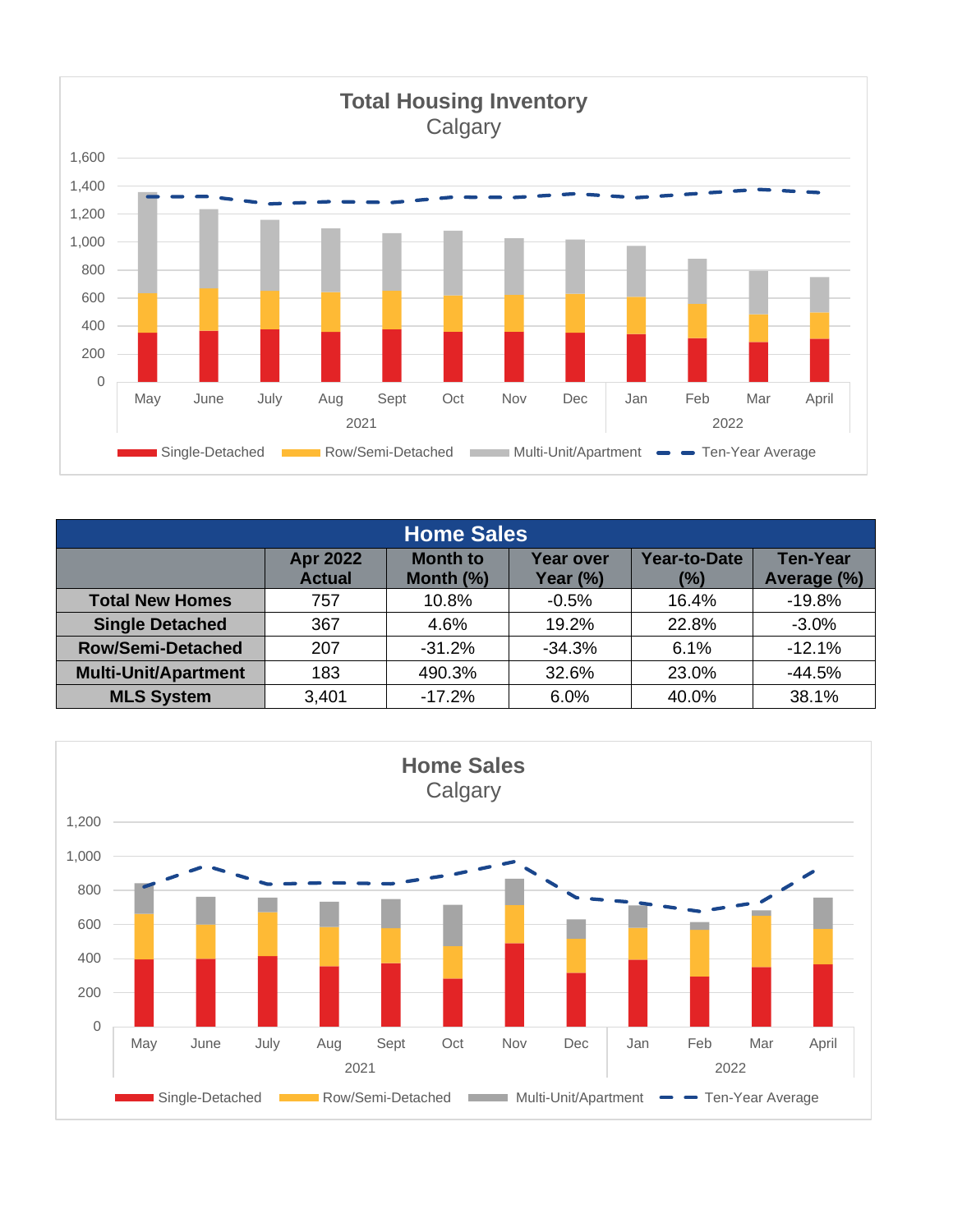

| <b>Home Sales</b>           |                                  |                                 |                              |                               |                                |  |
|-----------------------------|----------------------------------|---------------------------------|------------------------------|-------------------------------|--------------------------------|--|
|                             | <b>Apr 2022</b><br><b>Actual</b> | <b>Month to</b><br>Month $(\%)$ | <b>Year over</b><br>Year (%) | <b>Year-to-Date</b><br>$(\%)$ | <b>Ten-Year</b><br>Average (%) |  |
| <b>Total New Homes</b>      | 757                              | 10.8%                           | $-0.5%$                      | 16.4%                         | $-19.8%$                       |  |
| <b>Single Detached</b>      | 367                              | 4.6%                            | 19.2%                        | 22.8%                         | $-3.0%$                        |  |
| <b>Row/Semi-Detached</b>    | 207                              | $-31.2%$                        | $-34.3%$                     | 6.1%                          | $-12.1%$                       |  |
| <b>Multi-Unit/Apartment</b> | 183                              | 490.3%                          | 32.6%                        | 23.0%                         | $-44.5%$                       |  |
| <b>MLS System</b>           | 3,401                            | $-17.2%$                        | 6.0%                         | 40.0%                         | 38.1%                          |  |